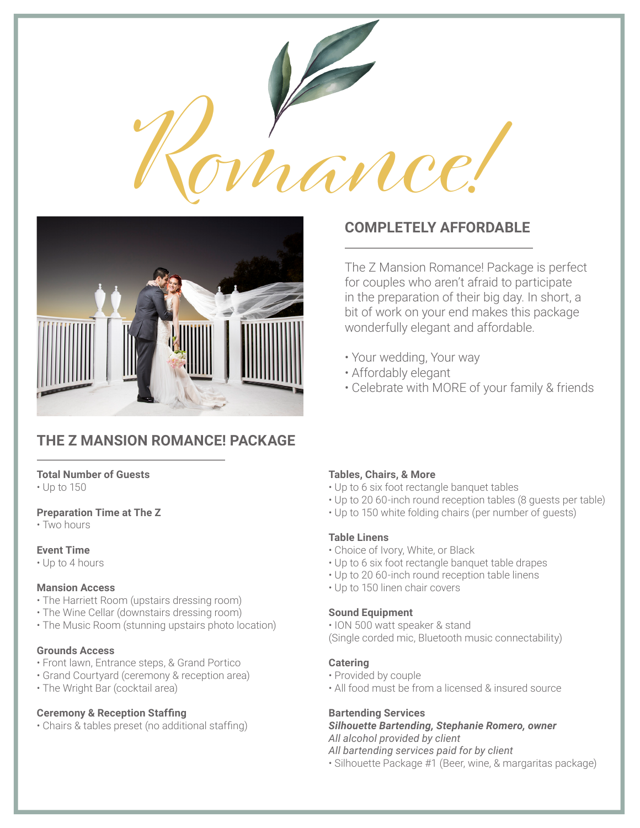



# **THE Z MANSION ROMANCE! PACKAGE**

### **Total Number of Guests**

• Up to 150

### **Preparation Time at The Z**

• Two hours

### **Event Time**

• Up to 4 hours

### **Mansion Access**

- The Harriett Room (upstairs dressing room)
- The Wine Cellar (downstairs dressing room)
- The Music Room (stunning upstairs photo location)

### **Grounds Access**

- Front lawn, Entrance steps, & Grand Portico
- Grand Courtyard (ceremony & reception area)
- The Wright Bar (cocktail area)

### **Ceremony & Reception Staffing**

• Chairs & tables preset (no additional staffing)

## **COMPLETELY AFFORDABLE**

The Z Mansion Romance! Package is perfect for couples who aren't afraid to participate in the preparation of their big day. In short, a bit of work on your end makes this package wonderfully elegant and affordable.

- Your wedding, Your way
- Affordably elegant
- Celebrate with MORE of your family & friends

### **Tables, Chairs, & More**

- Up to 6 six foot rectangle banquet tables
- Up to 20 60-inch round reception tables (8 guests per table)
- Up to 150 white folding chairs (per number of guests)

### **Table Linens**

- Choice of Ivory, White, or Black
- Up to 6 six foot rectangle banquet table drapes
- Up to 20 60-inch round reception table linens
- Up to 150 linen chair covers

### **Sound Equipment**

• ION 500 watt speaker & stand

(Single corded mic, Bluetooth music connectability)

### **Catering**

- Provided by couple
- All food must be from a licensed & insured source

### **Bartending Services**

#### *Silhouette Bartending, Stephanie Romero, owner All alcohol provided by client*

*All bartending services paid for by client*

• Silhouette Package #1 (Beer, wine, & margaritas package)